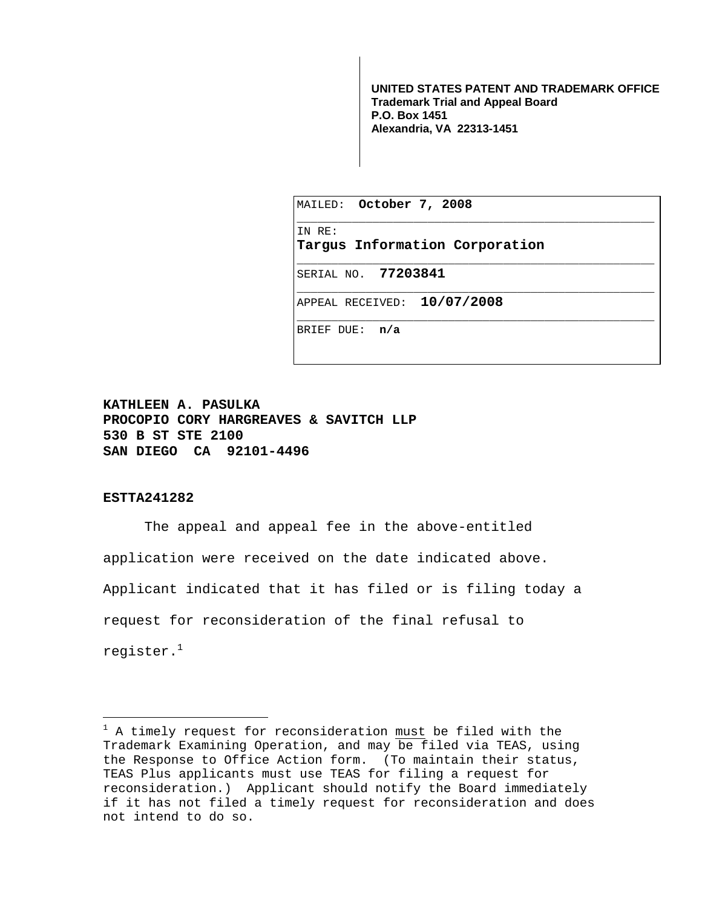**UNITED STATES PATENT AND TRADEMARK OFFICE Trademark Trial and Appeal Board P.O. Box 1451 Alexandria, VA 22313-1451**

|            | MAILED: October 7, 2008        |
|------------|--------------------------------|
| IN RE:     | Targus Information Corporation |
|            | SERIAL NO. 77203841            |
|            | APPEAL RECEIVED: 10/07/2008    |
| BRIEF DUE: | n/a                            |

**KATHLEEN A. PASULKA PROCOPIO CORY HARGREAVES & SAVITCH LLP 530 B ST STE 2100 SAN DIEGO CA 92101-4496** 

## **ESTTA241282**

i

The appeal and appeal fee in the above-entitled application were received on the date indicated above. Applicant indicated that it has filed or is filing today a request for reconsideration of the final refusal to register. $<sup>1</sup>$ </sup>

<sup>&</sup>lt;sup>1</sup> A timely request for reconsideration must be filed with the Trademark Examining Operation, and may be filed via TEAS, using the Response to Office Action form. (To maintain their status, TEAS Plus applicants must use TEAS for filing a request for reconsideration.) Applicant should notify the Board immediately if it has not filed a timely request for reconsideration and does not intend to do so.